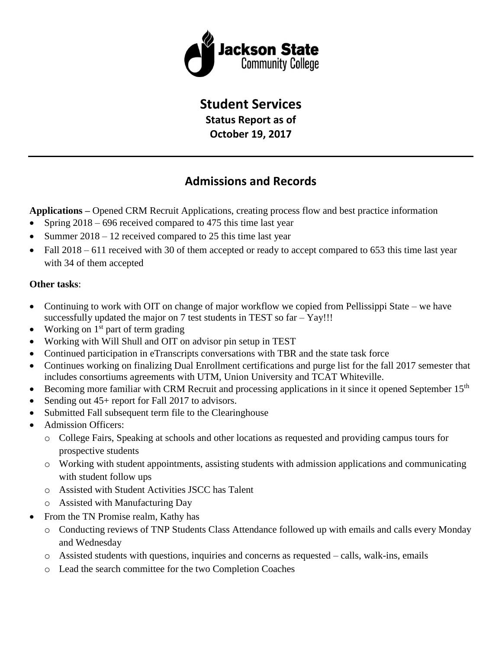

# **Student Services**

**Status Report as of**

**October 19, 2017**

## **Admissions and Records**

**Applications –** Opened CRM Recruit Applications, creating process flow and best practice information

- Spring  $2018 696$  received compared to 475 this time last year
- Summer  $2018 12$  received compared to 25 this time last year
- Fall 2018 611 received with 30 of them accepted or ready to accept compared to 653 this time last year with 34 of them accepted

### **Other tasks**:

- Continuing to work with OIT on change of major workflow we copied from Pellissippi State we have successfully updated the major on 7 test students in TEST so far – Yay!!!
- Working on  $1<sup>st</sup>$  part of term grading
- Working with Will Shull and OIT on advisor pin setup in TEST
- Continued participation in eTranscripts conversations with TBR and the state task force
- Continues working on finalizing Dual Enrollment certifications and purge list for the fall 2017 semester that includes consortiums agreements with UTM, Union University and TCAT Whiteville.
- Becoming more familiar with CRM Recruit and processing applications in it since it opened September 15<sup>th</sup>
- Sending out 45+ report for Fall 2017 to advisors.
- Submitted Fall subsequent term file to the Clearinghouse
- Admission Officers:
	- o College Fairs, Speaking at schools and other locations as requested and providing campus tours for prospective students
	- o Working with student appointments, assisting students with admission applications and communicating with student follow ups
	- o Assisted with Student Activities JSCC has Talent
	- o Assisted with Manufacturing Day
- From the TN Promise realm, Kathy has
	- o Conducting reviews of TNP Students Class Attendance followed up with emails and calls every Monday and Wednesday
	- $\circ$  Assisted students with questions, inquiries and concerns as requested calls, walk-ins, emails
	- o Lead the search committee for the two Completion Coaches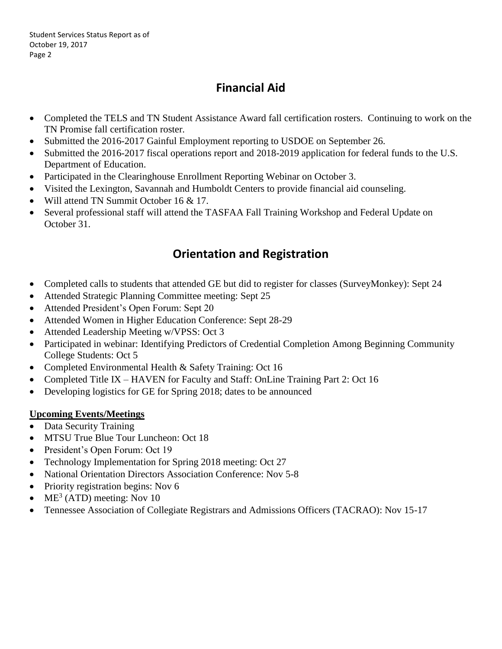Student Services Status Report as of October 19, 2017 Page 2

## **Financial Aid**

- Completed the TELS and TN Student Assistance Award fall certification rosters. Continuing to work on the TN Promise fall certification roster.
- Submitted the 2016-2017 Gainful Employment reporting to USDOE on September 26.
- Submitted the 2016-2017 fiscal operations report and 2018-2019 application for federal funds to the U.S. Department of Education.
- Participated in the Clearinghouse Enrollment Reporting Webinar on October 3.
- Visited the Lexington, Savannah and Humboldt Centers to provide financial aid counseling.
- Will attend TN Summit October 16 & 17.
- Several professional staff will attend the TASFAA Fall Training Workshop and Federal Update on October 31.

## **Orientation and Registration**

- Completed calls to students that attended GE but did to register for classes (SurveyMonkey): Sept 24
- Attended Strategic Planning Committee meeting: Sept 25
- Attended President's Open Forum: Sept 20
- Attended Women in Higher Education Conference: Sept 28-29
- Attended Leadership Meeting w/VPSS: Oct 3
- Participated in webinar: Identifying Predictors of Credential Completion Among Beginning Community College Students: Oct 5
- Completed Environmental Health & Safety Training: Oct 16
- Completed Title IX HAVEN for Faculty and Staff: OnLine Training Part 2: Oct 16
- Developing logistics for GE for Spring 2018; dates to be announced

## **Upcoming Events/Meetings**

- Data Security Training
- MTSU True Blue Tour Luncheon: Oct 18
- President's Open Forum: Oct 19
- Technology Implementation for Spring 2018 meeting: Oct 27
- National Orientation Directors Association Conference: Nov 5-8
- Priority registration begins: Nov 6
- ME<sup>3</sup> (ATD) meeting: Nov 10
- Tennessee Association of Collegiate Registrars and Admissions Officers (TACRAO): Nov 15-17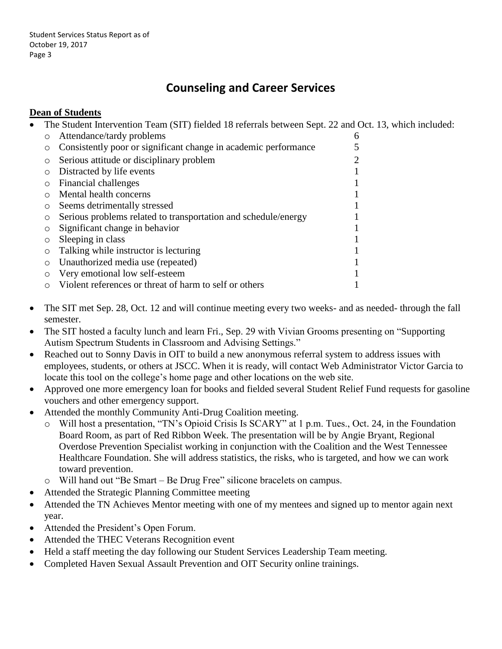## **Counseling and Career Services**

### **Dean of Students**

• The Student Intervention Team (SIT) fielded 18 referrals between Sept. 22 and Oct. 13, which included:

|         | Attendance/tardy problems                                       | 6 |
|---------|-----------------------------------------------------------------|---|
|         | Consistently poor or significant change in academic performance |   |
| $\circ$ | Serious attitude or disciplinary problem                        | 2 |
|         | Distracted by life events                                       |   |
|         | Financial challenges                                            |   |
|         | Mental health concerns                                          |   |
|         | Seems detrimentally stressed                                    |   |
|         | Serious problems related to transportation and schedule/energy  |   |
|         | Significant change in behavior                                  |   |
|         | Sleeping in class                                               |   |
|         | Talking while instructor is lecturing                           |   |
| O       | Unauthorized media use (repeated)                               |   |
|         | Very emotional low self-esteem                                  |   |
|         | Violent references or threat of harm to self or others          |   |

- The SIT met Sep. 28, Oct. 12 and will continue meeting every two weeks- and as needed- through the fall semester.
- The SIT hosted a faculty lunch and learn Fri., Sep. 29 with Vivian Grooms presenting on "Supporting" Autism Spectrum Students in Classroom and Advising Settings."
- Reached out to Sonny Davis in OIT to build a new anonymous referral system to address issues with employees, students, or others at JSCC. When it is ready, will contact Web Administrator Victor Garcia to locate this tool on the college's home page and other locations on the web site.
- Approved one more emergency loan for books and fielded several Student Relief Fund requests for gasoline vouchers and other emergency support.
- Attended the monthly Community Anti-Drug Coalition meeting.
	- o Will host a presentation, "TN's Opioid Crisis Is SCARY" at 1 p.m. Tues., Oct. 24, in the Foundation Board Room, as part of Red Ribbon Week. The presentation will be by Angie Bryant, Regional Overdose Prevention Specialist working in conjunction with the Coalition and the West Tennessee Healthcare Foundation. She will address statistics, the risks, who is targeted, and how we can work toward prevention.
	- o Will hand out "Be Smart Be Drug Free" silicone bracelets on campus.
- Attended the Strategic Planning Committee meeting
- Attended the TN Achieves Mentor meeting with one of my mentees and signed up to mentor again next year.
- Attended the President's Open Forum.
- Attended the THEC Veterans Recognition event
- Held a staff meeting the day following our Student Services Leadership Team meeting.
- Completed Haven Sexual Assault Prevention and OIT Security online trainings.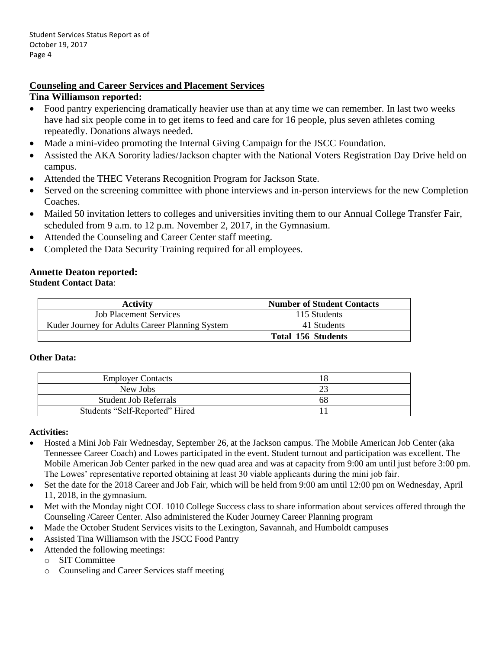### **Counseling and Career Services and Placement Services**

#### **Tina Williamson reported:**

- Food pantry experiencing dramatically heavier use than at any time we can remember. In last two weeks have had six people come in to get items to feed and care for 16 people, plus seven athletes coming repeatedly. Donations always needed.
- Made a mini-video promoting the Internal Giving Campaign for the JSCC Foundation.
- Assisted the AKA Sorority ladies/Jackson chapter with the National Voters Registration Day Drive held on campus.
- Attended the THEC Veterans Recognition Program for Jackson State.
- Served on the screening committee with phone interviews and in-person interviews for the new Completion Coaches.
- Mailed 50 invitation letters to colleges and universities inviting them to our Annual College Transfer Fair, scheduled from 9 a.m. to 12 p.m. November 2, 2017, in the Gymnasium.
- Attended the Counseling and Career Center staff meeting.
- Completed the Data Security Training required for all employees.

#### **Annette Deaton reported: Student Contact Data**:

| <b>Activity</b>                                 | <b>Number of Student Contacts</b> |
|-------------------------------------------------|-----------------------------------|
| <b>Job Placement Services</b>                   | 115 Students                      |
| Kuder Journey for Adults Career Planning System | 41 Students                       |
|                                                 | <b>Total 156 Students</b>         |

#### **Other Data:**

| <b>Employer Contacts</b>       |    |
|--------------------------------|----|
| New Jobs                       |    |
| <b>Student Job Referrals</b>   | ხგ |
| Students "Self-Reported" Hired |    |

#### **Activities:**

- Hosted a Mini Job Fair Wednesday, September 26, at the Jackson campus. The Mobile American Job Center (aka Tennessee Career Coach) and Lowes participated in the event. Student turnout and participation was excellent. The Mobile American Job Center parked in the new quad area and was at capacity from 9:00 am until just before 3:00 pm. The Lowes' representative reported obtaining at least 30 viable applicants during the mini job fair.
- Set the date for the 2018 Career and Job Fair, which will be held from 9:00 am until 12:00 pm on Wednesday, April 11, 2018, in the gymnasium.
- Met with the Monday night COL 1010 College Success class to share information about services offered through the Counseling /Career Center. Also administered the Kuder Journey Career Planning program
- Made the October Student Services visits to the Lexington, Savannah, and Humboldt campuses
- Assisted Tina Williamson with the JSCC Food Pantry
- Attended the following meetings:
	- o SIT Committee
	- o Counseling and Career Services staff meeting